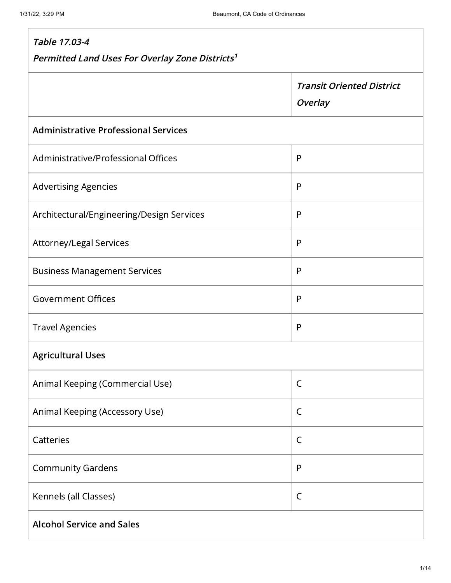Г

| Table 17.03-4                                               |                                             |  |
|-------------------------------------------------------------|---------------------------------------------|--|
| Permitted Land Uses For Overlay Zone Districts <sup>1</sup> |                                             |  |
|                                                             | <b>Transit Oriented District</b><br>Overlay |  |
| <b>Administrative Professional Services</b>                 |                                             |  |
| Administrative/Professional Offices                         | $\mathsf{P}$                                |  |
| <b>Advertising Agencies</b>                                 | $\mathsf{P}$                                |  |
| Architectural/Engineering/Design Services                   | P                                           |  |
| Attorney/Legal Services                                     | $\mathsf{P}$                                |  |
| <b>Business Management Services</b>                         | $\mathsf{P}$                                |  |
| <b>Government Offices</b>                                   | $\mathsf{P}$                                |  |
| <b>Travel Agencies</b>                                      | P                                           |  |
| <b>Agricultural Uses</b>                                    |                                             |  |
| Animal Keeping (Commercial Use)                             | $\mathsf C$                                 |  |
| Animal Keeping (Accessory Use)                              | $\mathsf C$                                 |  |
| Catteries                                                   | C                                           |  |
| <b>Community Gardens</b>                                    | $\mathsf{P}$                                |  |
| Kennels (all Classes)                                       | $\mathsf C$                                 |  |
| <b>Alcohol Service and Sales</b>                            |                                             |  |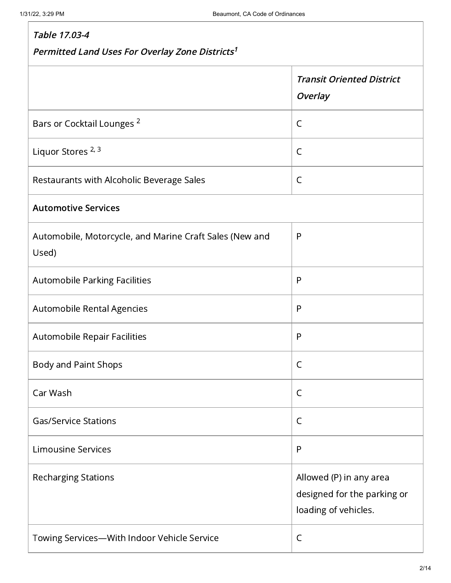| Table 17.03-4                                                    |                                                                                |  |
|------------------------------------------------------------------|--------------------------------------------------------------------------------|--|
| Permitted Land Uses For Overlay Zone Districts <sup>1</sup>      |                                                                                |  |
|                                                                  | <b>Transit Oriented District</b><br><b>Overlay</b>                             |  |
| Bars or Cocktail Lounges <sup>2</sup>                            | C                                                                              |  |
| Liquor Stores <sup>2, 3</sup>                                    | $\mathsf{C}$                                                                   |  |
| Restaurants with Alcoholic Beverage Sales                        | $\mathsf{C}$                                                                   |  |
| <b>Automotive Services</b>                                       |                                                                                |  |
| Automobile, Motorcycle, and Marine Craft Sales (New and<br>Used) | $\mathsf{P}$                                                                   |  |
| <b>Automobile Parking Facilities</b>                             | $\mathsf{P}$                                                                   |  |
| Automobile Rental Agencies                                       | P                                                                              |  |
| Automobile Repair Facilities                                     | $\mathsf{P}$                                                                   |  |
| <b>Body and Paint Shops</b>                                      | C                                                                              |  |
| Car Wash                                                         | C                                                                              |  |
| <b>Gas/Service Stations</b>                                      | $\mathsf C$                                                                    |  |
| <b>Limousine Services</b>                                        | $\mathsf{P}$                                                                   |  |
| <b>Recharging Stations</b>                                       | Allowed (P) in any area<br>designed for the parking or<br>loading of vehicles. |  |
| Towing Services-With Indoor Vehicle Service                      | C                                                                              |  |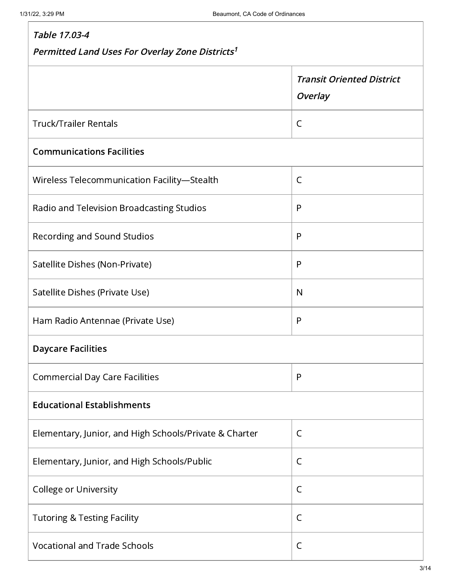| Table 17.03-4                                               |                                                    |  |
|-------------------------------------------------------------|----------------------------------------------------|--|
| Permitted Land Uses For Overlay Zone Districts <sup>1</sup> |                                                    |  |
|                                                             | <b>Transit Oriented District</b><br><b>Overlay</b> |  |
| <b>Truck/Trailer Rentals</b>                                | $\mathsf C$                                        |  |
| <b>Communications Facilities</b>                            |                                                    |  |
| Wireless Telecommunication Facility-Stealth                 | C                                                  |  |
| Radio and Television Broadcasting Studios                   | $\mathsf{P}$                                       |  |
| Recording and Sound Studios                                 | P                                                  |  |
| Satellite Dishes (Non-Private)                              | $\mathsf{P}$                                       |  |
| Satellite Dishes (Private Use)                              | N                                                  |  |
| Ham Radio Antennae (Private Use)                            | P                                                  |  |
| <b>Daycare Facilities</b>                                   |                                                    |  |
| <b>Commercial Day Care Facilities</b>                       | $\mathsf{P}$                                       |  |
| <b>Educational Establishments</b>                           |                                                    |  |
| Elementary, Junior, and High Schools/Private & Charter      | $\mathsf{C}$                                       |  |
| Elementary, Junior, and High Schools/Public                 | C                                                  |  |
| <b>College or University</b>                                | $\mathsf{C}$                                       |  |
| <b>Tutoring &amp; Testing Facility</b>                      | $\mathsf{C}$                                       |  |
| <b>Vocational and Trade Schools</b>                         | C                                                  |  |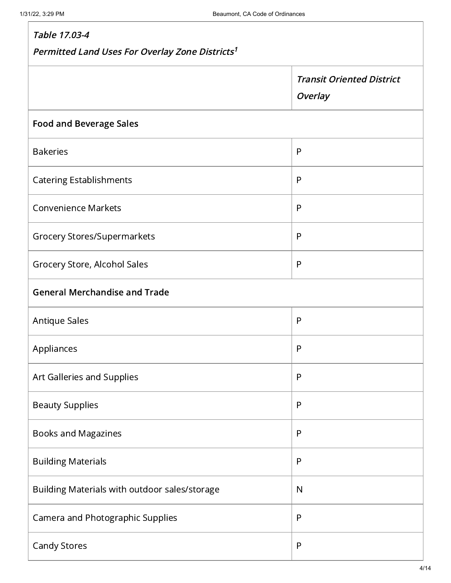| Table 17.03-4<br>Permitted Land Uses For Overlay Zone Districts <sup>1</sup> |              |
|------------------------------------------------------------------------------|--------------|
|                                                                              |              |
| <b>Food and Beverage Sales</b>                                               |              |
| <b>Bakeries</b>                                                              | P            |
| <b>Catering Establishments</b>                                               | P            |
| <b>Convenience Markets</b>                                                   | P            |
| <b>Grocery Stores/Supermarkets</b>                                           | $\mathsf{P}$ |
| Grocery Store, Alcohol Sales                                                 | P            |
| <b>General Merchandise and Trade</b>                                         |              |
| <b>Antique Sales</b>                                                         | $\mathsf{P}$ |
| Appliances                                                                   | $\mathsf{P}$ |
| Art Galleries and Supplies                                                   | P            |
| <b>Beauty Supplies</b>                                                       | P            |
| Books and Magazines                                                          | P            |
| <b>Building Materials</b>                                                    | $\mathsf{P}$ |
| Building Materials with outdoor sales/storage                                | N            |
| Camera and Photographic Supplies                                             | P            |
| <b>Candy Stores</b>                                                          | $\mathsf{P}$ |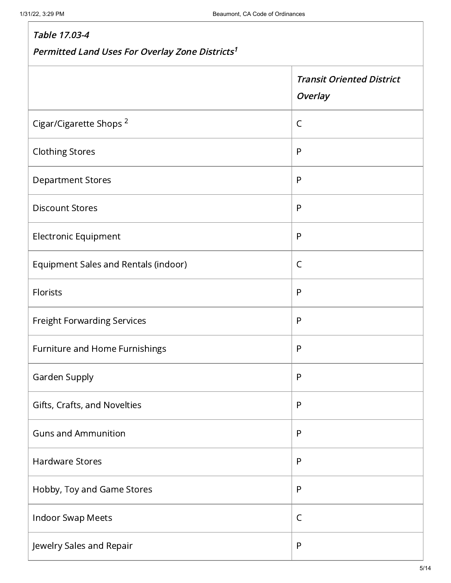# Table 17.03-4 Permitted Land Uses For Overlay Zone Districts 1 Transit Oriented District **Overlay** Cigar/Cigarette Shops  $^2$   $\qquad \qquad \vert$  C Clothing Stores **Participal Stores** Participal Association and Participal Association and Participal Participal P Department Stores Participation of the Participation of the Participation of the P Discount Stores Participation and Participation and Participation and Participation and Participation and Participation and Participation and Participation and Participation and Participation and Participation and Particip Electronic Equipment Property of the Property of Property and Property of Property and Property of Property and P Equipment Sales and Rentals (indoor) Equipment Sales and Rentals (indoor) Florists P Freight Forwarding Services **Particular Executive Particular Particular P** Furniture and Home Furnishings **Participal Exercise Participal P** Garden Supply Part of the Supply Part of the Supply Part of the Supply Part of the Supply Part of the Supply P Gifts, Crafts, and Novelties Physics Assets Assets Assets Physics Assets Assets Physics Assets Physics Assets P Guns and Ammunition Photos and Ammunition Photos and Photos and Photos and Photos and Photos and Photos and Photos and Photos and Photos and Photos and Photos and Photos and Photos and Photos and Photos and Photos and Phot Hardware Stores Participate of the Stores Participate of the Participate of the P Hobby, Toy and Game Stores Phobby, Toy and Game Stores Phobbs Indoor Swap Meets **CONTERNATION** Jewelry Sales and Repair Physics and Power Physics and Physics and Physics and Physics and Physics and Physics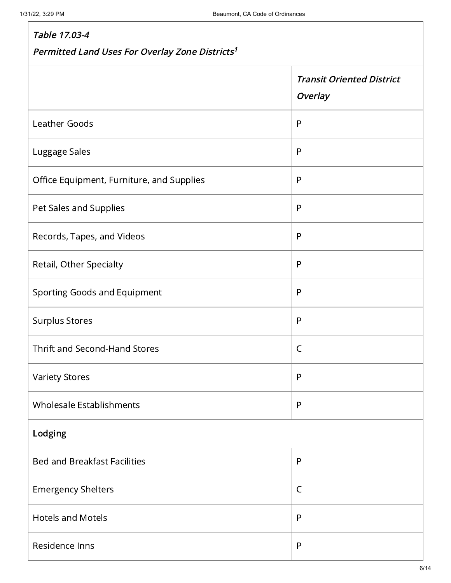# Table 17.03-4 Permitted Land Uses For Overlay Zone Districts 1Transit Oriented District **Overlay** Leather Goods Participate of the Contract of Participate of Participate of Participate of Participate of Participate of Participate of Participate of Participate of Participate of Participate of Participate of Participate Luggage Sales Participate of the Contract of the Participate of the Participate of the Participate of the Participate of the Participate of the Participate of the Participate of the Participate of the Participate of the Pa Office Equipment, Furniture, and Supplies P Pet Sales and Supplies Pet Sales and Supplies Records, Tapes, and Videos Participation and Participation of Participation of P Retail, Other Specialty Participate of the Participate of Participate of Participate of Participate of Participate of Participate of Participate of Participate of Participate of Participate of Participate of Participate of Sporting Goods and Equipment Property Research Property Research Property Research Property Research Property R Surplus Stores Participation of the Contract of the Participation of the Participation of the Participation of the P Thrift and Second-Hand Stores Contract Control of Contract Control Control Control Control Control Control Control Control Control Control Control Control Control Control Control Control Control Control Control Control Con Variety Stores Participate of the Contract of the Participate of the Participate of the Participate of the Par Wholesale Establishments **Participal Extendio Extendio Extendio Participal P** Lodging Bed and Breakfast Facilities Physics Assembly Physics Inc. 2014 Emergency Shelters **Contract Contract Contract Contract Contract Contract Contract Contract Contract Contract Contract Contract Contract Contract Contract Contract Contract Contract Contract Contract Contract Contract Cont** Hotels and Motels Photos Participate and Photos Photos Photos Photos Photos Photos Photos Photos Photos Photos Residence Inns Participation and Participation and Participation and Participation and Participation and Participation and Participation and Participation and Participation and Participation and Participation and Participa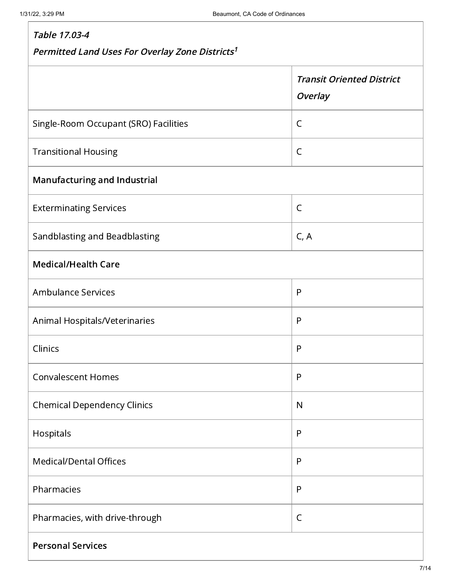| Table 17.03-4<br>Permitted Land Uses For Overlay Zone Districts <sup>1</sup> |                                             |  |
|------------------------------------------------------------------------------|---------------------------------------------|--|
|                                                                              | <b>Transit Oriented District</b><br>Overlay |  |
| Single-Room Occupant (SRO) Facilities                                        | $\mathsf{C}$                                |  |
| <b>Transitional Housing</b>                                                  | $\mathsf C$                                 |  |
| <b>Manufacturing and Industrial</b>                                          |                                             |  |
| <b>Exterminating Services</b>                                                | $\mathsf{C}$                                |  |
| Sandblasting and Beadblasting                                                | C, A                                        |  |
| <b>Medical/Health Care</b>                                                   |                                             |  |
| <b>Ambulance Services</b>                                                    | $\mathsf{P}$                                |  |
| Animal Hospitals/Veterinaries                                                | $\mathsf{P}$                                |  |
| Clinics                                                                      | $\mathsf{P}$                                |  |
| <b>Convalescent Homes</b>                                                    | $\mathsf{P}$                                |  |
| <b>Chemical Dependency Clinics</b>                                           | $\mathsf{N}$                                |  |
| Hospitals                                                                    | $\mathsf{P}$                                |  |
| <b>Medical/Dental Offices</b>                                                | $\mathsf{P}$                                |  |
| Pharmacies                                                                   | P                                           |  |
| Pharmacies, with drive-through                                               | $\mathsf C$                                 |  |
| <b>Personal Services</b>                                                     |                                             |  |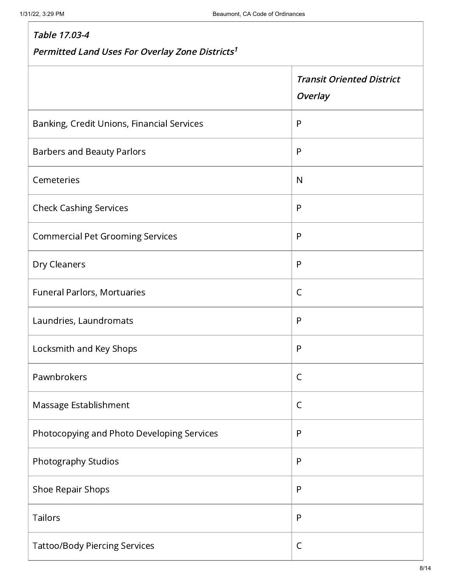#### Table 17.03-4 Permitted Land Uses For Overlay Zone Districts 1Transit Oriented District **Overlay** Banking, Credit Unions, Financial Services Panking, P Barbers and Beauty Parlors Particular Property Parlors Property Property Property P Cemeteries N Check Cashing Services **Particular Executive Check Cashing Services** Commercial Pet Grooming Services **Properties** Dry Cleaners Party 2014 and 2014 and 2014 and 2014 and 2014 and 2014 and 2014 and 2014 and 2014 and 2014 and 20 Funeral Parlors, Mortuaries Communication Communication Communication Communication Communication Communication Laundries, Laundromats Participation and Participation of Participation and Participation of Participation and P Locksmith and Key Shops Participate of the Participate of Participate of Participate of Participate of Particip Pawnbrokers and the contract of the contract of  $\overline{C}$ Massage Establishment  $\begin{array}{|c|c|c|c|c|}\hline \textbf{C} & \textbf{C} & \textbf{C} \end{array}$ Photocopying and Photo Developing Services Photocopying and Photo Developing Services Photography Studios Photography Studios Photography Studios Photography P Shoe Repair Shops Participate of the Shoe Repair Shops Participate of the Participate of the Participate of the P Tailors P Tattoo/Body Piercing Services and Communications of Communications of Communications of Communications of Communications of Communications of Communications of Communications of Communications of Communications of Communic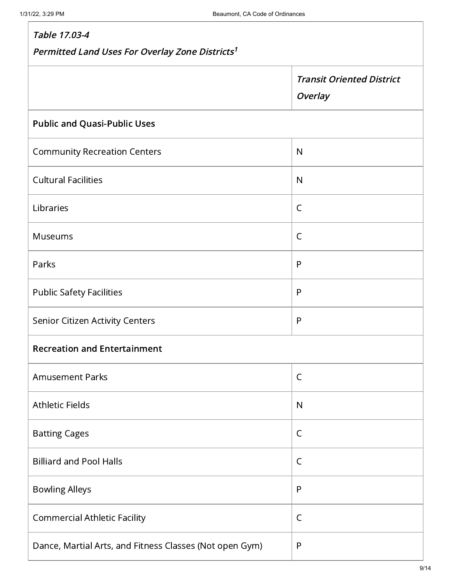| Table 17.03-4                                               |                                             |  |
|-------------------------------------------------------------|---------------------------------------------|--|
| Permitted Land Uses For Overlay Zone Districts <sup>1</sup> |                                             |  |
|                                                             | <b>Transit Oriented District</b><br>Overlay |  |
| <b>Public and Quasi-Public Uses</b>                         |                                             |  |
| <b>Community Recreation Centers</b>                         | $\mathsf{N}$                                |  |
| <b>Cultural Facilities</b>                                  | $\mathsf{N}$                                |  |
| Libraries                                                   | $\mathsf C$                                 |  |
| <b>Museums</b>                                              | $\mathsf{C}$                                |  |
| Parks                                                       | P                                           |  |
| <b>Public Safety Facilities</b>                             | $\mathsf{P}$                                |  |
| Senior Citizen Activity Centers                             | $\mathsf{P}$                                |  |
| <b>Recreation and Entertainment</b>                         |                                             |  |
| <b>Amusement Parks</b>                                      | $\mathsf C$                                 |  |
| <b>Athletic Fields</b>                                      | $\mathsf{N}$                                |  |
| <b>Batting Cages</b>                                        | C                                           |  |
| <b>Billiard and Pool Halls</b>                              | $\mathsf{C}$                                |  |
| <b>Bowling Alleys</b>                                       | P                                           |  |
| <b>Commercial Athletic Facility</b>                         | $\mathsf C$                                 |  |
| Dance, Martial Arts, and Fitness Classes (Not open Gym)     | P                                           |  |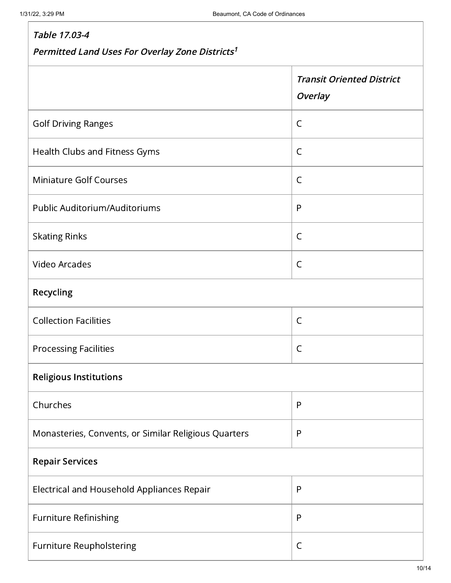# Table 17.03-4 Permitted Land Uses For Overlay Zone Districts 1Transit Oriented District **Overlay** Golf Driving Ranges **Colf Collection** Collection Collection Collection Collection Collection Collection Collection Collection Collection Collection Collection Collection Collection Collection Collection Collection Collecti Health Clubs and Fitness Gyms Communication of  $\overline{C}$ Miniature Golf Courses Contract Courses Courses Public Auditorium/Auditoriums P Skating Rinks **Communist Communist Properties** Video Arcades and the contract of the contract of the contract of the contract of the contract of the contract of the contract of the contract of the contract of the contract of the contract of the contract of the contract Recycling Collection Facilities **Collection Facilities** Processing Facilities **CONTEX CONTEX CONTEX CONTEX CONTEX CONTEX CONTEX CONTEX CONTEX CONTEX CONTEX CONTEX CONTEX CONTEX CONTEX CONTEX CONTEX CONTEX CONTEX CONTEX CONTEX CONTEX CONTEX CONTEX CONTEX CONTEX CONTEX CONTEX CON** Religious Institutions Churches Present and the present of the present and the present of  $\mathsf{P}$ Monasteries, Convents, or Similar Religious Quarters P Repair Services Electrical and Household Appliances Repair **Property** Furniture Refinishing **Participal Executive Participal P** Furniture Reupholstering **C** and C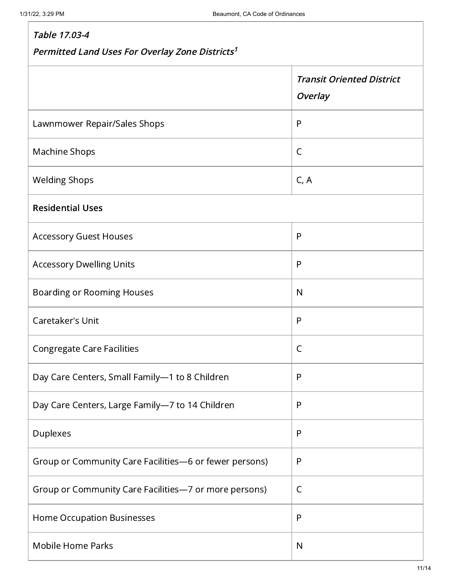| Table 17.03-4<br>Permitted Land Uses For Overlay Zone Districts <sup>1</sup> |                                             |  |
|------------------------------------------------------------------------------|---------------------------------------------|--|
|                                                                              | <b>Transit Oriented District</b><br>Overlay |  |
| Lawnmower Repair/Sales Shops                                                 | P                                           |  |
| <b>Machine Shops</b>                                                         | $\mathsf{C}$                                |  |
| <b>Welding Shops</b>                                                         | C, A                                        |  |
| <b>Residential Uses</b>                                                      |                                             |  |
| <b>Accessory Guest Houses</b>                                                | P                                           |  |
| <b>Accessory Dwelling Units</b>                                              | P                                           |  |
| <b>Boarding or Rooming Houses</b>                                            | $\mathsf{N}$                                |  |
| Caretaker's Unit                                                             | P                                           |  |
| <b>Congregate Care Facilities</b>                                            | C                                           |  |
| Day Care Centers, Small Family-1 to 8 Children                               | P                                           |  |
| Day Care Centers, Large Family-7 to 14 Children                              | P                                           |  |
| Duplexes                                                                     | P                                           |  |
| Group or Community Care Facilities-6 or fewer persons)                       | P                                           |  |
| Group or Community Care Facilities-7 or more persons)                        | C                                           |  |
| <b>Home Occupation Businesses</b>                                            | P                                           |  |
| <b>Mobile Home Parks</b>                                                     | N                                           |  |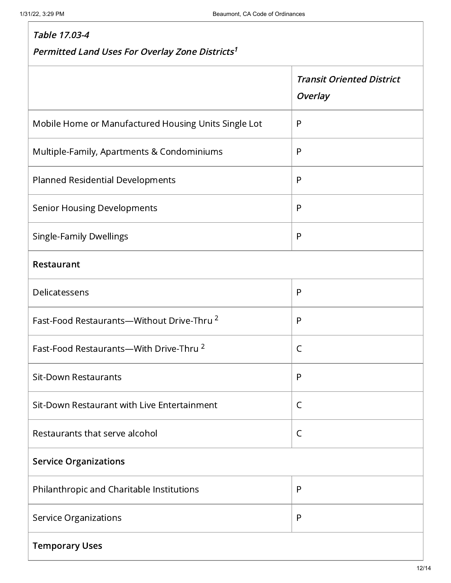#### Table 17.03-4 Permitted Land Uses For Overlay Zone Districts 1 Transit Oriented District **Overlay** Mobile Home or Manufactured Housing Units Single Lot P Multiple-Family, Apartments & Condominiums Pulled Pulled Band Planned Residential Developments Planned Residential Developments Senior Housing Developments Participate Property Research Property Property Research Property Property Property Single-Family Dwellings Participate Australian Control of Participate Australian Control of Participate Australia Restaurant Delicatessens P Fast-Food Restaurants—Without Drive-Thru  $^2$   $\qquad$   $\qquad$  P Fast-Food Restaurants—With Drive-Thru  $^2$   $\qquad \qquad \vert$  C Sit-Down Restaurants Participate of the Participate of the Participate of Participate of Participate of Participate of Participate of Participate of Participate of Participate of Participate of Participate of Participate o Sit-Down Restaurant with Live Entertainment C Restaurants that serve alcohol example that  $\vert$  C Service Organizations Philanthropic and Charitable Institutions P Service Organizations Physical Contract of Physical Contract Physical Contract Physical Physical Contract Physical Physical Contract Physical Contract Physical Contract Physical Contract Physical Contract Physical Contract Temporary Uses